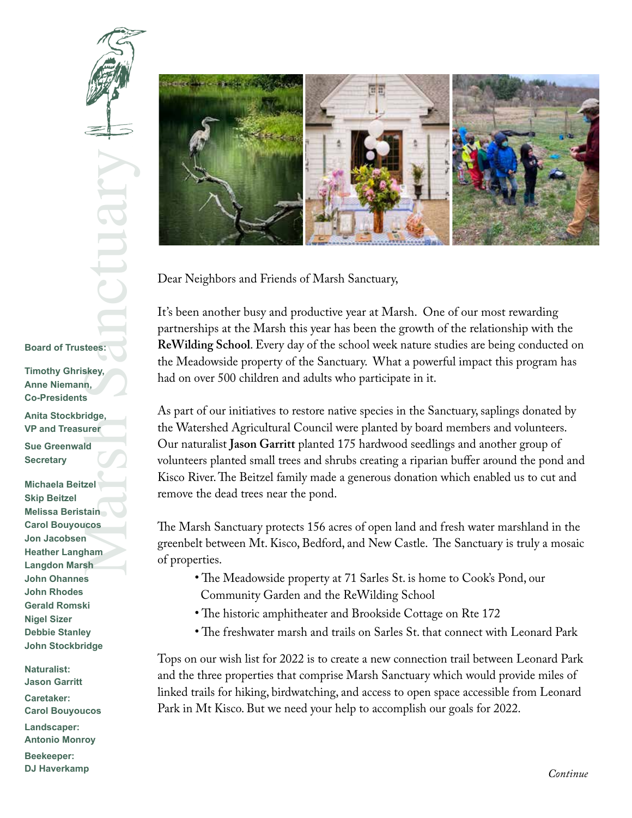## Marsh School (1998)<br>Sanctuary School (1998)<br>Tridge, urer Id<br>Zel<br>Alain Icos<br>Alam Sh **Board of Trustees:**

**Timothy Ghriskey, Anne Niemann, Co-Presidents**

**Anita Stockbridge, VP and Treasurer**

**Sue Greenwald Secretary**

**Michaela Beitzel Skip Beitzel Melissa Beristain Carol Bouyoucos Jon Jacobsen Heather Langham Langdon Marsh John Ohannes John Rhodes Gerald Romski Nigel Sizer Debbie Stanley John Stockbridge**

**Naturalist: Jason Garritt Caretaker: Carol Bouyoucos**

**Landscaper: Antonio Monroy**

**Beekeeper: DJ Haverkamp**



Dear Neighbors and Friends of Marsh Sanctuary,

It's been another busy and productive year at Marsh. One of our most rewarding partnerships at the Marsh this year has been the growth of the relationship with the **ReWilding School**. Every day of the school week nature studies are being conducted on the Meadowside property of the Sanctuary. What a powerful impact this program has had on over 500 children and adults who participate in it.

As part of our initiatives to restore native species in the Sanctuary, saplings donated by the Watershed Agricultural Council were planted by board members and volunteers. Our naturalist **Jason Garritt** planted 175 hardwood seedlings and another group of volunteers planted small trees and shrubs creating a riparian buffer around the pond and Kisco River. The Beitzel family made a generous donation which enabled us to cut and remove the dead trees near the pond.

The Marsh Sanctuary protects 156 acres of open land and fresh water marshland in the greenbelt between Mt. Kisco, Bedford, and New Castle. The Sanctuary is truly a mosaic of properties.

- The Meadowside property at 71 Sarles St. is home to Cook's Pond, our Community Garden and the ReWilding School
- The historic amphitheater and Brookside Cottage on Rte 172
- The freshwater marsh and trails on Sarles St. that connect with Leonard Park

Tops on our wish list for 2022 is to create a new connection trail between Leonard Park and the three properties that comprise Marsh Sanctuary which would provide miles of linked trails for hiking, birdwatching, and access to open space accessible from Leonard Park in Mt Kisco. But we need your help to accomplish our goals for 2022.